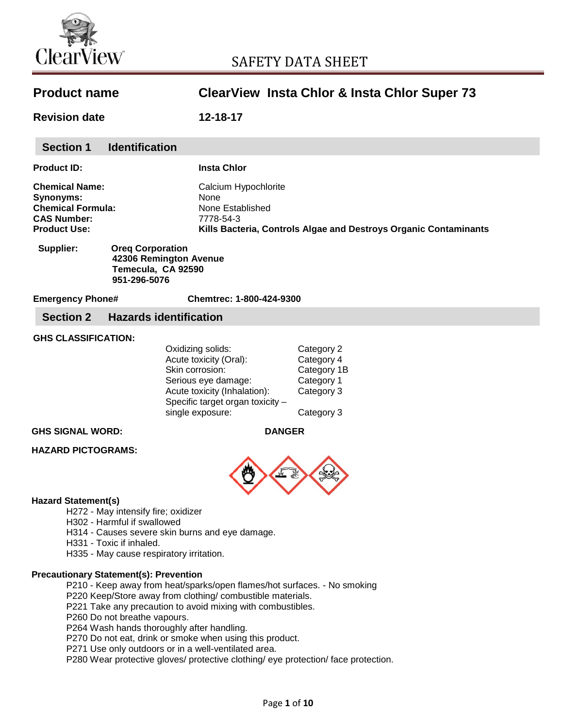

# SAFETY DATA SHEET

| <b>Product name</b>                                                                                                                                                                                                                                                                    |                                                                                                                                                                               | <b>ClearView Insta Chlor &amp; Insta Chlor Super 73</b>                           |
|----------------------------------------------------------------------------------------------------------------------------------------------------------------------------------------------------------------------------------------------------------------------------------------|-------------------------------------------------------------------------------------------------------------------------------------------------------------------------------|-----------------------------------------------------------------------------------|
| <b>Revision date</b>                                                                                                                                                                                                                                                                   | 12-18-17                                                                                                                                                                      |                                                                                   |
| <b>Section 1</b><br><b>Identification</b>                                                                                                                                                                                                                                              |                                                                                                                                                                               |                                                                                   |
| <b>Product ID:</b>                                                                                                                                                                                                                                                                     | <b>Insta Chlor</b>                                                                                                                                                            |                                                                                   |
| <b>Chemical Name:</b><br>Synonyms:<br><b>Chemical Formula:</b><br><b>CAS Number:</b><br><b>Product Use:</b>                                                                                                                                                                            | Calcium Hypochlorite<br><b>None</b><br>None Established<br>7778-54-3<br>Kills Bacteria, Controls Algae and Destroys Organic Contaminants                                      |                                                                                   |
| Supplier:<br><b>Oreg Corporation</b><br>42306 Remington Avenue<br>Temecula, CA 92590<br>951-296-5076                                                                                                                                                                                   |                                                                                                                                                                               |                                                                                   |
| <b>Emergency Phone#</b>                                                                                                                                                                                                                                                                | Chemtrec: 1-800-424-9300                                                                                                                                                      |                                                                                   |
| <b>Section 2</b>                                                                                                                                                                                                                                                                       | <b>Hazards identification</b>                                                                                                                                                 |                                                                                   |
| <b>GHS CLASSIFICATION:</b>                                                                                                                                                                                                                                                             | Oxidizing solids:<br>Acute toxicity (Oral):<br>Skin corrosion:<br>Serious eye damage:<br>Acute toxicity (Inhalation):<br>Specific target organ toxicity -<br>single exposure: | Category 2<br>Category 4<br>Category 1B<br>Category 1<br>Category 3<br>Category 3 |
| <b>GHS SIGNAL WORD:</b>                                                                                                                                                                                                                                                                | <b>DANGER</b>                                                                                                                                                                 |                                                                                   |
| <b>HAZARD PICTOGRAMS:</b>                                                                                                                                                                                                                                                              |                                                                                                                                                                               |                                                                                   |
| <b>Hazard Statement(s)</b><br>H272 - May intensify fire; oxidizer<br>H302 - Harmful if swallowed<br>H314 - Causes severe skin burns and eye damage.<br>H331 - Toxic if inhaled.<br>H335 - May cause respiratory irritation.                                                            |                                                                                                                                                                               |                                                                                   |
| <b>Precautionary Statement(s): Prevention</b><br>P210 - Keep away from heat/sparks/open flames/hot surfaces. - No smoking<br>P220 Keep/Store away from clothing/ combustible materials.<br>P221 Take any precaution to avoid mixing with combustibles.<br>P260 Do not breathe vapours. |                                                                                                                                                                               |                                                                                   |

P264 Wash hands thoroughly after handling.

P270 Do not eat, drink or smoke when using this product.

P271 Use only outdoors or in a well-ventilated area.

P280 Wear protective gloves/ protective clothing/ eye protection/ face protection.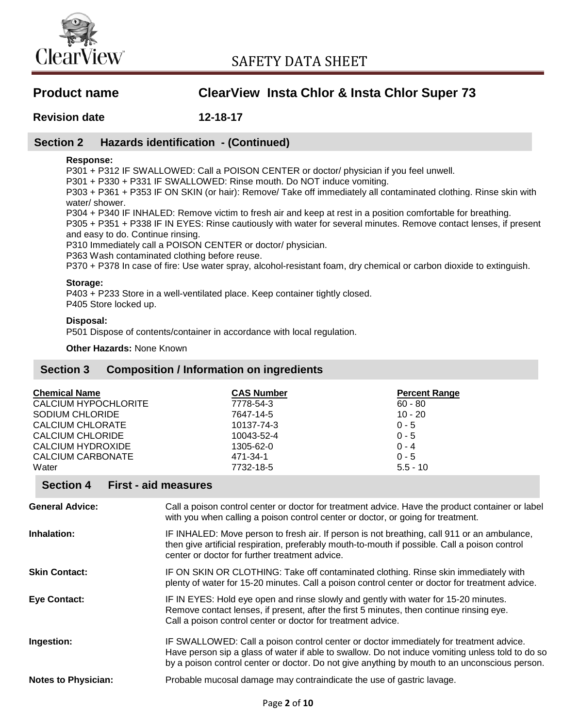

**Revision date 12-18-17**

## **Section 2 Hazards identification - (Continued)**

## **Response:**

P301 + P312 IF SWALLOWED: Call a POISON CENTER or doctor/ physician if you feel unwell.

P301 + P330 + P331 IF SWALLOWED: Rinse mouth. Do NOT induce vomiting.

P303 + P361 + P353 IF ON SKIN (or hair): Remove/ Take off immediately all contaminated clothing. Rinse skin with water/ shower.

P304 + P340 IF INHALED: Remove victim to fresh air and keep at rest in a position comfortable for breathing.

P305 + P351 + P338 IF IN EYES: Rinse cautiously with water for several minutes. Remove contact lenses, if present and easy to do. Continue rinsing.

P310 Immediately call a POISON CENTER or doctor/ physician.

P363 Wash contaminated clothing before reuse.

P370 + P378 In case of fire: Use water spray, alcohol-resistant foam, dry chemical or carbon dioxide to extinguish.

## **Storage:**

P403 + P233 Store in a well-ventilated place. Keep container tightly closed. P405 Store locked up.

## **Disposal:**

P501 Dispose of contents/container in accordance with local regulation.

**Other Hazards:** None Known

## **Section 3 Composition / Information on ingredients**

| <b>Chemical Name</b><br><b>CALCIUM HYPOCHLORITE</b><br>SODIUM CHLORIDE<br><b>CALCIUM CHLORATE</b><br><b>CALCIUM CHLORIDE</b><br><b>CALCIUM HYDROXIDE</b><br><b>CALCIUM CARBONATE</b><br>Water | <b>CAS Number</b><br>7778-54-3<br>7647-14-5<br>10137-74-3<br>10043-52-4<br>1305-62-0<br>471-34-1<br>7732-18-5                                                                                                                                                                               | <b>Percent Range</b><br>$60 - 80$<br>$10 - 20$<br>$0 - 5$<br>$0 - 5$<br>$0 - 4$<br>$0 - 5$<br>$5.5 - 10$ |  |
|-----------------------------------------------------------------------------------------------------------------------------------------------------------------------------------------------|---------------------------------------------------------------------------------------------------------------------------------------------------------------------------------------------------------------------------------------------------------------------------------------------|----------------------------------------------------------------------------------------------------------|--|
| <b>Section 4</b><br><b>First - aid measures</b>                                                                                                                                               |                                                                                                                                                                                                                                                                                             |                                                                                                          |  |
| <b>General Advice:</b>                                                                                                                                                                        | Call a poison control center or doctor for treatment advice. Have the product container or label<br>with you when calling a poison control center or doctor, or going for treatment.                                                                                                        |                                                                                                          |  |
| <b>Inhalation:</b>                                                                                                                                                                            | IF INHALED: Move person to fresh air. If person is not breathing, call 911 or an ambulance,<br>then give artificial respiration, preferably mouth-to-mouth if possible. Call a poison control<br>center or doctor for further treatment advice.                                             |                                                                                                          |  |
| <b>Skin Contact:</b>                                                                                                                                                                          | IF ON SKIN OR CLOTHING: Take off contaminated clothing. Rinse skin immediately with<br>plenty of water for 15-20 minutes. Call a poison control center or doctor for treatment advice.                                                                                                      |                                                                                                          |  |
| Eye Contact:                                                                                                                                                                                  | IF IN EYES: Hold eye open and rinse slowly and gently with water for 15-20 minutes.<br>Remove contact lenses, if present, after the first 5 minutes, then continue rinsing eye.<br>Call a poison control center or doctor for treatment advice.                                             |                                                                                                          |  |
| Ingestion:                                                                                                                                                                                    | IF SWALLOWED: Call a poison control center or doctor immediately for treatment advice.<br>Have person sip a glass of water if able to swallow. Do not induce vomiting unless told to do so<br>by a poison control center or doctor. Do not give anything by mouth to an unconscious person. |                                                                                                          |  |
| <b>Notes to Physician:</b>                                                                                                                                                                    | Probable mucosal damage may contraindicate the use of gastric lavage.                                                                                                                                                                                                                       |                                                                                                          |  |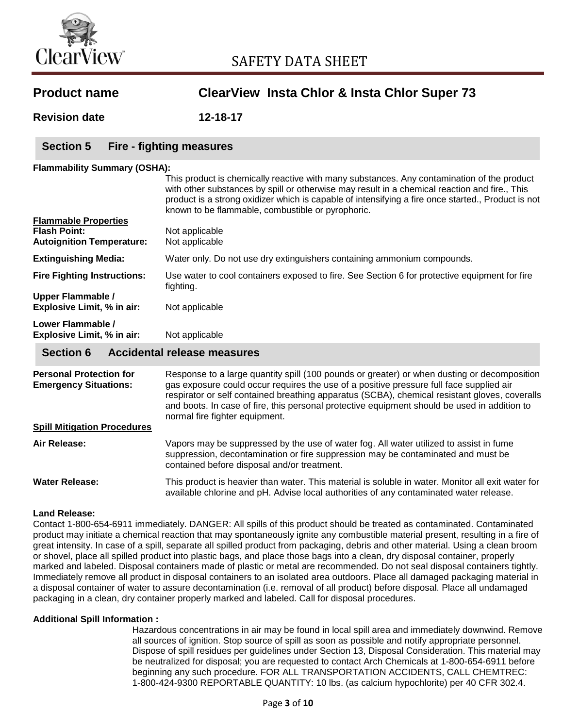

| <b>Product name</b>                                                                    | <b>ClearView Insta Chlor &amp; Insta Chlor Super 73</b>                                                                                                                                                                                                                                                                                                                                                                   |  |
|----------------------------------------------------------------------------------------|---------------------------------------------------------------------------------------------------------------------------------------------------------------------------------------------------------------------------------------------------------------------------------------------------------------------------------------------------------------------------------------------------------------------------|--|
| <b>Revision date</b>                                                                   | 12-18-17                                                                                                                                                                                                                                                                                                                                                                                                                  |  |
| <b>Section 5</b>                                                                       | Fire - fighting measures                                                                                                                                                                                                                                                                                                                                                                                                  |  |
| <b>Flammability Summary (OSHA):</b>                                                    | This product is chemically reactive with many substances. Any contamination of the product<br>with other substances by spill or otherwise may result in a chemical reaction and fire., This<br>product is a strong oxidizer which is capable of intensifying a fire once started., Product is not<br>known to be flammable, combustible or pyrophoric.                                                                    |  |
| <b>Flammable Properties</b><br><b>Flash Point:</b><br><b>Autoignition Temperature:</b> | Not applicable<br>Not applicable                                                                                                                                                                                                                                                                                                                                                                                          |  |
| <b>Extinguishing Media:</b>                                                            | Water only. Do not use dry extinguishers containing ammonium compounds.                                                                                                                                                                                                                                                                                                                                                   |  |
| <b>Fire Fighting Instructions:</b>                                                     | Use water to cool containers exposed to fire. See Section 6 for protective equipment for fire<br>fighting.                                                                                                                                                                                                                                                                                                                |  |
| <b>Upper Flammable /</b><br>Explosive Limit, % in air:                                 | Not applicable                                                                                                                                                                                                                                                                                                                                                                                                            |  |
| Lower Flammable /<br>Explosive Limit, % in air:                                        | Not applicable                                                                                                                                                                                                                                                                                                                                                                                                            |  |
| <b>Section 6</b><br><b>Accidental release measures</b>                                 |                                                                                                                                                                                                                                                                                                                                                                                                                           |  |
| <b>Personal Protection for</b><br><b>Emergency Situations:</b>                         | Response to a large quantity spill (100 pounds or greater) or when dusting or decomposition<br>gas exposure could occur requires the use of a positive pressure full face supplied air<br>respirator or self contained breathing apparatus (SCBA), chemical resistant gloves, coveralls<br>and boots. In case of fire, this personal protective equipment should be used in addition to<br>normal fire fighter equipment. |  |
| <b>Spill Mitigation Procedures</b>                                                     |                                                                                                                                                                                                                                                                                                                                                                                                                           |  |
| Air Release:                                                                           | Vapors may be suppressed by the use of water fog. All water utilized to assist in fume<br>suppression, decontamination or fire suppression may be contaminated and must be<br>contained before disposal and/or treatment.                                                                                                                                                                                                 |  |
| <b>Water Release:</b>                                                                  | This product is heavier than water. This material is soluble in water. Monitor all exit water for<br>available chlorine and pH. Advise local authorities of any contaminated water release.                                                                                                                                                                                                                               |  |
| <b>Land Release:</b>                                                                   | Contact 1-800-654-6911 immediately. DANGER: All spills of this product should be treated as contaminated. Contaminated<br>product may initiate a chemical reaction that may spontaneously ignite any combustible material present, resulting in a fire of                                                                                                                                                                 |  |

great intensity. In case of a spill, separate all spilled product from packaging, debris and other material. Using a clean broom or shovel, place all spilled product into plastic bags, and place those bags into a clean, dry disposal container, properly marked and labeled. Disposal containers made of plastic or metal are recommended. Do not seal disposal containers tightly. Immediately remove all product in disposal containers to an isolated area outdoors. Place all damaged packaging material in a disposal container of water to assure decontamination (i.e. removal of all product) before disposal. Place all undamaged packaging in a clean, dry container properly marked and labeled. Call for disposal procedures.

#### **Additional Spill Information :**

Hazardous concentrations in air may be found in local spill area and immediately downwind. Remove all sources of ignition. Stop source of spill as soon as possible and notify appropriate personnel. Dispose of spill residues per guidelines under Section 13, Disposal Consideration. This material may be neutralized for disposal; you are requested to contact Arch Chemicals at 1-800-654-6911 before beginning any such procedure. FOR ALL TRANSPORTATION ACCIDENTS, CALL CHEMTREC: 1-800-424-9300 REPORTABLE QUANTITY: 10 lbs. (as calcium hypochlorite) per 40 CFR 302.4.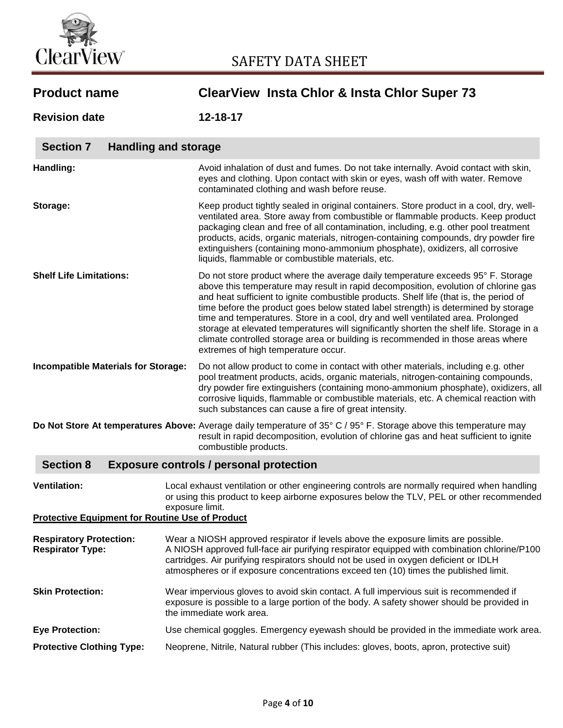

| <b>Product name</b>                                                           | <b>ClearView Insta Chlor &amp; Insta Chlor Super 73</b>                                                                                                                                                                                                                                                                                                                                                                                                                                                                                                                                                                                                         |  |  |
|-------------------------------------------------------------------------------|-----------------------------------------------------------------------------------------------------------------------------------------------------------------------------------------------------------------------------------------------------------------------------------------------------------------------------------------------------------------------------------------------------------------------------------------------------------------------------------------------------------------------------------------------------------------------------------------------------------------------------------------------------------------|--|--|
| <b>Revision date</b>                                                          | $12 - 18 - 17$                                                                                                                                                                                                                                                                                                                                                                                                                                                                                                                                                                                                                                                  |  |  |
| <b>Section 7</b><br><b>Handling and storage</b>                               |                                                                                                                                                                                                                                                                                                                                                                                                                                                                                                                                                                                                                                                                 |  |  |
| Handling:                                                                     | Avoid inhalation of dust and fumes. Do not take internally. Avoid contact with skin,<br>eyes and clothing. Upon contact with skin or eyes, wash off with water. Remove<br>contaminated clothing and wash before reuse.                                                                                                                                                                                                                                                                                                                                                                                                                                          |  |  |
| Storage:                                                                      | Keep product tightly sealed in original containers. Store product in a cool, dry, well-<br>ventilated area. Store away from combustible or flammable products. Keep product<br>packaging clean and free of all contamination, including, e.g. other pool treatment<br>products, acids, organic materials, nitrogen-containing compounds, dry powder fire<br>extinguishers (containing mono-ammonium phosphate), oxidizers, all corrosive<br>liquids, flammable or combustible materials, etc.                                                                                                                                                                   |  |  |
| <b>Shelf Life Limitations:</b>                                                | Do not store product where the average daily temperature exceeds 95° F. Storage<br>above this temperature may result in rapid decomposition, evolution of chlorine gas<br>and heat sufficient to ignite combustible products. Shelf life (that is, the period of<br>time before the product goes below stated label strength) is determined by storage<br>time and temperatures. Store in a cool, dry and well ventilated area. Prolonged<br>storage at elevated temperatures will significantly shorten the shelf life. Storage in a<br>climate controlled storage area or building is recommended in those areas where<br>extremes of high temperature occur. |  |  |
| <b>Incompatible Materials for Storage:</b>                                    | Do not allow product to come in contact with other materials, including e.g. other<br>pool treatment products, acids, organic materials, nitrogen-containing compounds,<br>dry powder fire extinguishers (containing mono-ammonium phosphate), oxidizers, all<br>corrosive liquids, flammable or combustible materials, etc. A chemical reaction with<br>such substances can cause a fire of great intensity.                                                                                                                                                                                                                                                   |  |  |
|                                                                               | Do Not Store At temperatures Above: Average daily temperature of 35° C / 95° F. Storage above this temperature may<br>result in rapid decomposition, evolution of chlorine gas and heat sufficient to ignite<br>combustible products.                                                                                                                                                                                                                                                                                                                                                                                                                           |  |  |
| <b>Section 8</b><br><b>Exposure controls / personal protection</b>            |                                                                                                                                                                                                                                                                                                                                                                                                                                                                                                                                                                                                                                                                 |  |  |
| <b>Ventilation:</b><br><b>Protective Equipment for Routine Use of Product</b> | Local exhaust ventilation or other engineering controls are normally required when handling<br>or using this product to keep airborne exposures below the TLV, PEL or other recommended<br>exposure limit.                                                                                                                                                                                                                                                                                                                                                                                                                                                      |  |  |
| <b>Respiratory Protection:</b><br><b>Respirator Type:</b>                     | Wear a NIOSH approved respirator if levels above the exposure limits are possible.<br>A NIOSH approved full-face air purifying respirator equipped with combination chlorine/P100<br>cartridges. Air purifying respirators should not be used in oxygen deficient or IDLH<br>atmospheres or if exposure concentrations exceed ten (10) times the published limit.                                                                                                                                                                                                                                                                                               |  |  |
| <b>Skin Protection:</b>                                                       | Wear impervious gloves to avoid skin contact. A full impervious suit is recommended if<br>exposure is possible to a large portion of the body. A safety shower should be provided in<br>the immediate work area.                                                                                                                                                                                                                                                                                                                                                                                                                                                |  |  |
| <b>Eye Protection:</b>                                                        | Use chemical goggles. Emergency eyewash should be provided in the immediate work area.                                                                                                                                                                                                                                                                                                                                                                                                                                                                                                                                                                          |  |  |
| <b>Protective Clothing Type:</b>                                              | Neoprene, Nitrile, Natural rubber (This includes: gloves, boots, apron, protective suit)                                                                                                                                                                                                                                                                                                                                                                                                                                                                                                                                                                        |  |  |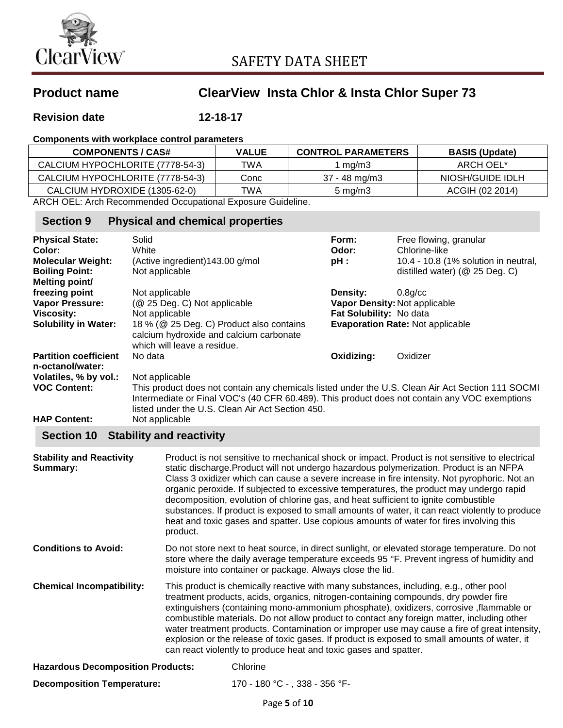

## **Revision date 12-18-17**

## **Components with workplace control parameters**

| <b>COMPONENTS / CAS#</b>         | <b>VALUE</b> | <b>CONTROL PARAMETERS</b> | <b>BASIS (Update)</b> |
|----------------------------------|--------------|---------------------------|-----------------------|
| CALCIUM HYPOCHLORITE (7778-54-3) | TWA          | l mg/m3                   | ARCH OEL*             |
| CALCIUM HYPOCHLORITE (7778-54-3) | Conc         | 37 - 48 mg/m3             | NIOSH/GUIDE IDLH      |
| CALCIUM HYDROXIDE (1305-62-0)    | TWA          | $5 \,\mathrm{mag/m}$      | ACGIH (02 2014)       |

ARCH OEL: Arch Recommended Occupational Exposure Guideline.

## **Section 9 Physical and chemical properties**

| <b>Physical State:</b><br>Color:                 | Solid<br>White                                                                                                                                                                                                                                         | Form:<br>Odor:                | Free flowing, granular<br>Chlorine-like |
|--------------------------------------------------|--------------------------------------------------------------------------------------------------------------------------------------------------------------------------------------------------------------------------------------------------------|-------------------------------|-----------------------------------------|
| <b>Molecular Weight:</b>                         | (Active ingredient) 143.00 g/mol                                                                                                                                                                                                                       | pH:                           | 10.4 - 10.8 (1% solution in neutral,    |
| <b>Boiling Point:</b>                            | Not applicable                                                                                                                                                                                                                                         |                               | distilled water) (@ 25 Deg. C)          |
| Melting point/                                   |                                                                                                                                                                                                                                                        |                               |                                         |
| freezing point                                   | Not applicable                                                                                                                                                                                                                                         | <b>Density:</b>               | $0.8$ g/cc                              |
| Vapor Pressure:                                  | (@ 25 Deg. C) Not applicable                                                                                                                                                                                                                           | Vapor Density: Not applicable |                                         |
| <b>Viscosity:</b>                                | Not applicable                                                                                                                                                                                                                                         | Fat Solubility: No data       |                                         |
| <b>Solubility in Water:</b>                      | 18 % (@ 25 Deg. C) Product also contains                                                                                                                                                                                                               |                               | <b>Evaporation Rate: Not applicable</b> |
|                                                  | calcium hydroxide and calcium carbonate<br>which will leave a residue.                                                                                                                                                                                 |                               |                                         |
| <b>Partition coefficient</b><br>n-octanol/water: | No data                                                                                                                                                                                                                                                | Oxidizing:                    | Oxidizer                                |
| Volatiles, % by vol.:                            | Not applicable                                                                                                                                                                                                                                         |                               |                                         |
| <b>VOC Content:</b>                              | This product does not contain any chemicals listed under the U.S. Clean Air Act Section 111 SOCMI<br>Intermediate or Final VOC's (40 CFR 60.489). This product does not contain any VOC exemptions<br>listed under the U.S. Clean Air Act Section 450. |                               |                                         |
| <b>HAP Content:</b>                              | Not applicable                                                                                                                                                                                                                                         |                               |                                         |

## **Section 10 Stability and reactivity**

| <b>Stability and Reactivity</b><br>Summary: | Product is not sensitive to mechanical shock or impact. Product is not sensitive to electrical<br>static discharge. Product will not undergo hazardous polymerization. Product is an NFPA<br>Class 3 oxidizer which can cause a severe increase in fire intensity. Not pyrophoric. Not an<br>organic peroxide. If subjected to excessive temperatures, the product may undergo rapid<br>decomposition, evolution of chlorine gas, and heat sufficient to ignite combustible<br>substances. If product is exposed to small amounts of water, it can react violently to produce<br>heat and toxic gases and spatter. Use copious amounts of water for fires involving this<br>product. |  |
|---------------------------------------------|--------------------------------------------------------------------------------------------------------------------------------------------------------------------------------------------------------------------------------------------------------------------------------------------------------------------------------------------------------------------------------------------------------------------------------------------------------------------------------------------------------------------------------------------------------------------------------------------------------------------------------------------------------------------------------------|--|
| <b>Conditions to Avoid:</b>                 | Do not store next to heat source, in direct sunlight, or elevated storage temperature. Do not<br>store where the daily average temperature exceeds 95 °F. Prevent ingress of humidity and<br>moisture into container or package. Always close the lid.                                                                                                                                                                                                                                                                                                                                                                                                                               |  |
| <b>Chemical Incompatibility:</b>            | This product is chemically reactive with many substances, including, e.g., other pool<br>treatment products, acids, organics, nitrogen-containing compounds, dry powder fire<br>extinguishers (containing mono-ammonium phosphate), oxidizers, corrosive, flammable or<br>combustible materials. Do not allow product to contact any foreign matter, including other<br>water treatment products. Contamination or improper use may cause a fire of great intensity,<br>explosion or the release of toxic gases. If product is exposed to small amounts of water, it<br>can react violently to produce heat and toxic gases and spatter.                                             |  |
| <b>Hazardous Decomposition Products:</b>    | Chlorine                                                                                                                                                                                                                                                                                                                                                                                                                                                                                                                                                                                                                                                                             |  |
| <b>Decomposition Temperature:</b>           | 170 - 180 °C - , 338 - 356 °F-                                                                                                                                                                                                                                                                                                                                                                                                                                                                                                                                                                                                                                                       |  |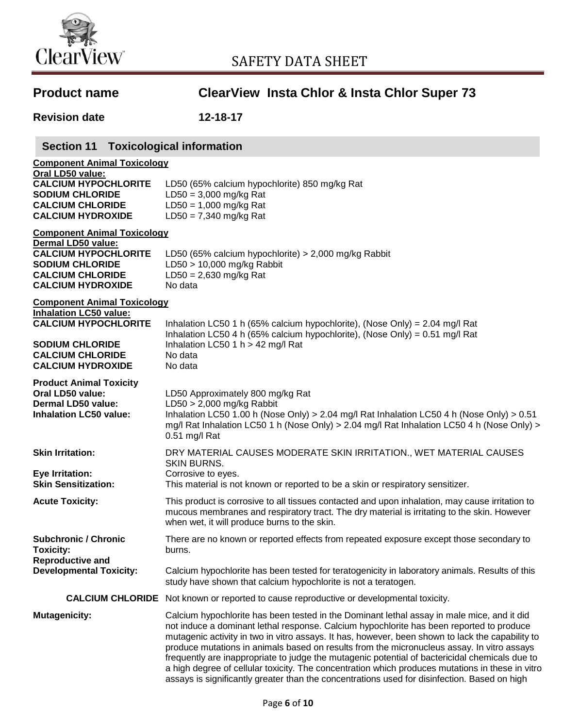

| <b>Product name</b>                                                                                                                                                    | <b>ClearView Insta Chlor &amp; Insta Chlor Super 73</b>                                                                                                                                                                                                                                                                                                                                                                                                                                                                                                                                                                                                                                        |
|------------------------------------------------------------------------------------------------------------------------------------------------------------------------|------------------------------------------------------------------------------------------------------------------------------------------------------------------------------------------------------------------------------------------------------------------------------------------------------------------------------------------------------------------------------------------------------------------------------------------------------------------------------------------------------------------------------------------------------------------------------------------------------------------------------------------------------------------------------------------------|
| <b>Revision date</b>                                                                                                                                                   | 12-18-17                                                                                                                                                                                                                                                                                                                                                                                                                                                                                                                                                                                                                                                                                       |
| <b>Section 11 Toxicological information</b>                                                                                                                            |                                                                                                                                                                                                                                                                                                                                                                                                                                                                                                                                                                                                                                                                                                |
| <b>Component Animal Toxicology</b><br>Oral LD50 value:<br><b>CALCIUM HYPOCHLORITE</b><br><b>SODIUM CHLORIDE</b><br><b>CALCIUM CHLORIDE</b><br><b>CALCIUM HYDROXIDE</b> | LD50 (65% calcium hypochlorite) 850 mg/kg Rat<br>$LD50 = 3,000$ mg/kg Rat<br>$LD50 = 1,000$ mg/kg Rat<br>$LD50 = 7,340$ mg/kg Rat                                                                                                                                                                                                                                                                                                                                                                                                                                                                                                                                                              |
| <b>Component Animal Toxicology</b><br>Dermal LD50 value:                                                                                                               |                                                                                                                                                                                                                                                                                                                                                                                                                                                                                                                                                                                                                                                                                                |
| <b>CALCIUM HYPOCHLORITE</b><br><b>SODIUM CHLORIDE</b><br><b>CALCIUM CHLORIDE</b><br><b>CALCIUM HYDROXIDE</b>                                                           | LD50 (65% calcium hypochlorite) $> 2,000$ mg/kg Rabbit<br>LD50 > 10,000 mg/kg Rabbit<br>$LD50 = 2,630$ mg/kg Rat<br>No data                                                                                                                                                                                                                                                                                                                                                                                                                                                                                                                                                                    |
| <b>Component Animal Toxicology</b><br><b>Inhalation LC50 value:</b>                                                                                                    |                                                                                                                                                                                                                                                                                                                                                                                                                                                                                                                                                                                                                                                                                                |
| <b>CALCIUM HYPOCHLORITE</b>                                                                                                                                            | Inhalation LC50 1 h (65% calcium hypochlorite), (Nose Only) = 2.04 mg/l Rat<br>Inhalation LC50 4 h (65% calcium hypochlorite), (Nose Only) = 0.51 mg/l Rat                                                                                                                                                                                                                                                                                                                                                                                                                                                                                                                                     |
| <b>SODIUM CHLORIDE</b><br><b>CALCIUM CHLORIDE</b><br><b>CALCIUM HYDROXIDE</b>                                                                                          | Inhalation LC50 1 h > 42 mg/l Rat<br>No data<br>No data                                                                                                                                                                                                                                                                                                                                                                                                                                                                                                                                                                                                                                        |
| <b>Product Animal Toxicity</b><br>Oral LD50 value:<br>Dermal LD50 value:<br><b>Inhalation LC50 value:</b>                                                              | LD50 Approximately 800 mg/kg Rat<br>$LD50 > 2,000$ mg/kg Rabbit<br>Inhalation LC50 1.00 h (Nose Only) > 2.04 mg/l Rat Inhalation LC50 4 h (Nose Only) > $0.51$<br>mg/l Rat Inhalation LC50 1 h (Nose Only) > 2.04 mg/l Rat Inhalation LC50 4 h (Nose Only) ><br>0.51 mg/l Rat                                                                                                                                                                                                                                                                                                                                                                                                                  |
| <b>Skin Irritation:</b>                                                                                                                                                | DRY MATERIAL CAUSES MODERATE SKIN IRRITATION., WET MATERIAL CAUSES<br><b>SKIN BURNS.</b>                                                                                                                                                                                                                                                                                                                                                                                                                                                                                                                                                                                                       |
| <b>Eye Irritation:</b><br><b>Skin Sensitization:</b>                                                                                                                   | Corrosive to eyes.<br>This material is not known or reported to be a skin or respiratory sensitizer.                                                                                                                                                                                                                                                                                                                                                                                                                                                                                                                                                                                           |
| <b>Acute Toxicity:</b>                                                                                                                                                 | This product is corrosive to all tissues contacted and upon inhalation, may cause irritation to<br>mucous membranes and respiratory tract. The dry material is irritating to the skin. However<br>when wet, it will produce burns to the skin.                                                                                                                                                                                                                                                                                                                                                                                                                                                 |
| <b>Subchronic / Chronic</b><br><b>Toxicity:</b>                                                                                                                        | There are no known or reported effects from repeated exposure except those secondary to<br>burns.                                                                                                                                                                                                                                                                                                                                                                                                                                                                                                                                                                                              |
| <b>Reproductive and</b><br><b>Developmental Toxicity:</b>                                                                                                              | Calcium hypochlorite has been tested for teratogenicity in laboratory animals. Results of this<br>study have shown that calcium hypochlorite is not a teratogen.                                                                                                                                                                                                                                                                                                                                                                                                                                                                                                                               |
|                                                                                                                                                                        | <b>CALCIUM CHLORIDE</b> Not known or reported to cause reproductive or developmental toxicity.                                                                                                                                                                                                                                                                                                                                                                                                                                                                                                                                                                                                 |
| <b>Mutagenicity:</b>                                                                                                                                                   | Calcium hypochlorite has been tested in the Dominant lethal assay in male mice, and it did<br>not induce a dominant lethal response. Calcium hypochlorite has been reported to produce<br>mutagenic activity in two in vitro assays. It has, however, been shown to lack the capability to<br>produce mutations in animals based on results from the micronucleus assay. In vitro assays<br>frequently are inappropriate to judge the mutagenic potential of bactericidal chemicals due to<br>a high degree of cellular toxicity. The concentration which produces mutations in these in vitro<br>assays is significantly greater than the concentrations used for disinfection. Based on high |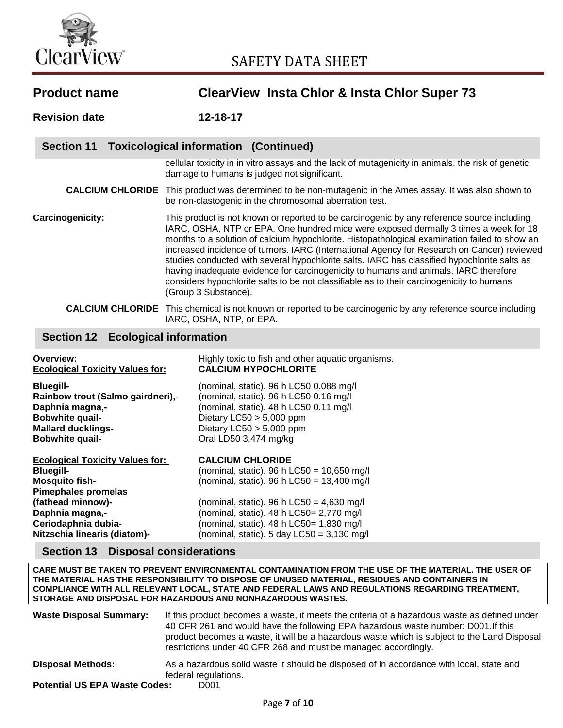

| <b>Product name</b>  | <b>ClearView Insta Chlor &amp; Insta Chlor Super 73</b>                                                                                                                                                                                                                                                                                                                                                                                                                                                                                                                                                                                                                                        |  |
|----------------------|------------------------------------------------------------------------------------------------------------------------------------------------------------------------------------------------------------------------------------------------------------------------------------------------------------------------------------------------------------------------------------------------------------------------------------------------------------------------------------------------------------------------------------------------------------------------------------------------------------------------------------------------------------------------------------------------|--|
| <b>Revision date</b> | $12 - 18 - 17$                                                                                                                                                                                                                                                                                                                                                                                                                                                                                                                                                                                                                                                                                 |  |
| <b>Section 11</b>    | Toxicological information (Continued)                                                                                                                                                                                                                                                                                                                                                                                                                                                                                                                                                                                                                                                          |  |
|                      | cellular toxicity in in vitro assays and the lack of mutagenicity in animals, the risk of genetic<br>damage to humans is judged not significant.                                                                                                                                                                                                                                                                                                                                                                                                                                                                                                                                               |  |
|                      | <b>CALCIUM CHLORIDE</b> This product was determined to be non-mutagenic in the Ames assay. It was also shown to<br>be non-clastogenic in the chromosomal aberration test.                                                                                                                                                                                                                                                                                                                                                                                                                                                                                                                      |  |
| Carcinogenicity:     | This product is not known or reported to be carcinogenic by any reference source including<br>IARC, OSHA, NTP or EPA. One hundred mice were exposed dermally 3 times a week for 18<br>months to a solution of calcium hypochlorite. Histopathological examination failed to show an<br>increased incidence of tumors. IARC (International Agency for Research on Cancer) reviewed<br>studies conducted with several hypochlorite salts. IARC has classified hypochlorite salts as<br>having inadequate evidence for carcinogenicity to humans and animals. IARC therefore<br>considers hypochlorite salts to be not classifiable as to their carcinogenicity to humans<br>(Group 3 Substance). |  |
|                      | <b>CALCIUM CHLORIDE</b> This chemical is not known or reported to be carcinogenic by any reference source including<br>IARC, OSHA, NTP, or EPA.                                                                                                                                                                                                                                                                                                                                                                                                                                                                                                                                                |  |

## **Section 12 Ecological information**

| Overview:<br><b>Ecological Toxicity Values for:</b>                                                                                                       | Highly toxic to fish and other aquatic organisms.<br><b>CALCIUM HYPOCHLORITE</b>                                                                                                                                 |
|-----------------------------------------------------------------------------------------------------------------------------------------------------------|------------------------------------------------------------------------------------------------------------------------------------------------------------------------------------------------------------------|
| <b>Bluegill-</b><br>Rainbow trout (Salmo gairdneri),-<br>Daphnia magna,-<br><b>Bobwhite quail-</b><br><b>Mallard ducklings-</b><br><b>Bobwhite quail-</b> | (nominal, static). 96 h LC50 0.088 mg/l<br>(nominal, static). 96 h LC50 0.16 mg/l<br>(nominal, static). 48 h LC50 0.11 mg/l<br>Dietary $LC50 > 5,000$ ppm<br>Dietary $LC50 > 5,000$ ppm<br>Oral LD50 3,474 mg/kg |
| <b>Ecological Toxicity Values for:</b>                                                                                                                    | <b>CALCIUM CHLORIDE</b>                                                                                                                                                                                          |
| <b>Bluegill-</b>                                                                                                                                          | (nominal, static). 96 h LC50 = $10,650$ mg/l                                                                                                                                                                     |
| <b>Mosquito fish-</b>                                                                                                                                     | (nominal, static). 96 h LC50 = $13,400$ mg/l                                                                                                                                                                     |
| <b>Pimephales promelas</b>                                                                                                                                |                                                                                                                                                                                                                  |
| (fathead minnow)-                                                                                                                                         | (nominal, static). 96 h LC50 = $4,630$ mg/l                                                                                                                                                                      |
| Daphnia magna,-                                                                                                                                           | (nominal, static). 48 h LC50= 2,770 mg/l                                                                                                                                                                         |
| Ceriodaphnia dubia-                                                                                                                                       | (nominal, static). 48 h LC50= 1,830 mg/l                                                                                                                                                                         |
| Nitzschia linearis (diatom)-                                                                                                                              | (nominal, static). 5 day $LC50 = 3,130$ mg/l                                                                                                                                                                     |

## **Section 13 Disposal considerations**

**CARE MUST BE TAKEN TO PREVENT ENVIRONMENTAL CONTAMINATION FROM THE USE OF THE MATERIAL. THE USER OF THE MATERIAL HAS THE RESPONSIBILITY TO DISPOSE OF UNUSED MATERIAL, RESIDUES AND CONTAINERS IN COMPLIANCE WITH ALL RELEVANT LOCAL, STATE AND FEDERAL LAWS AND REGULATIONS REGARDING TREATMENT, STORAGE AND DISPOSAL FOR HAZARDOUS AND NONHAZARDOUS WASTES.**

| <b>Waste Disposal Summary:</b>       | If this product becomes a waste, it meets the criteria of a hazardous waste as defined under<br>40 CFR 261 and would have the following EPA hazardous waste number: D001. If this<br>product becomes a waste, it will be a hazardous waste which is subject to the Land Disposal<br>restrictions under 40 CFR 268 and must be managed accordingly. |
|--------------------------------------|----------------------------------------------------------------------------------------------------------------------------------------------------------------------------------------------------------------------------------------------------------------------------------------------------------------------------------------------------|
| <b>Disposal Methods:</b>             | As a hazardous solid waste it should be disposed of in accordance with local, state and<br>federal regulations.                                                                                                                                                                                                                                    |
| <b>Potential US EPA Waste Codes:</b> | D001                                                                                                                                                                                                                                                                                                                                               |
|                                      |                                                                                                                                                                                                                                                                                                                                                    |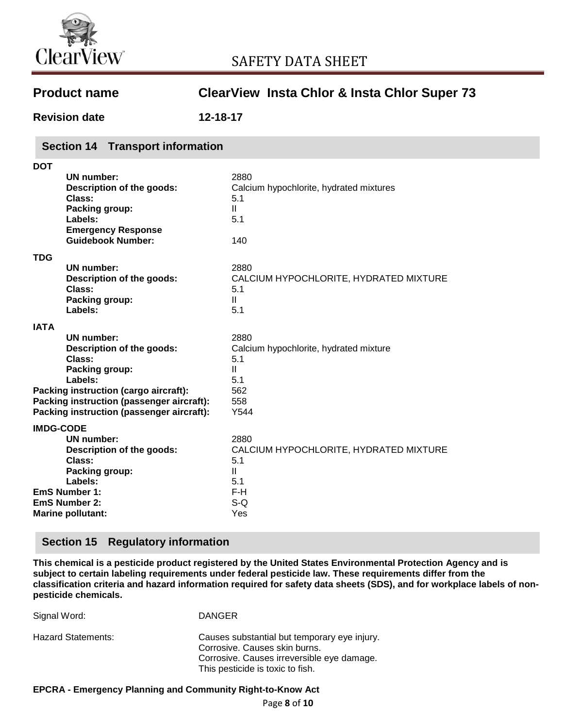

| <b>Product name</b>  | <b>ClearView Insta Chlor &amp; Insta Chlor Super 73</b> |
|----------------------|---------------------------------------------------------|
| <b>Revision date</b> | 12-18-17                                                |

## **Section 14 Transport information**

| <b>DOT</b>       |                                                                                                                                                                                                                          |                                                                                                    |
|------------------|--------------------------------------------------------------------------------------------------------------------------------------------------------------------------------------------------------------------------|----------------------------------------------------------------------------------------------------|
|                  | UN number:<br>Description of the goods:<br>Class:<br>Packing group:<br>Labels:<br><b>Emergency Response</b><br><b>Guidebook Number:</b>                                                                                  | 2880<br>Calcium hypochlorite, hydrated mixtures<br>5.1<br>$\mathbf{II}$<br>5.1<br>140              |
| TDG              |                                                                                                                                                                                                                          |                                                                                                    |
|                  | UN number:<br>Description of the goods:<br>Class:<br>Packing group:<br>Labels:                                                                                                                                           | 2880<br>CALCIUM HYPOCHLORITE, HYDRATED MIXTURE<br>5.1<br>$\mathbf{I}$<br>5.1                       |
| <b>IATA</b>      |                                                                                                                                                                                                                          |                                                                                                    |
|                  | UN number:<br>Description of the goods:<br>Class:<br>Packing group:<br>Labels:<br><b>Packing instruction (cargo aircraft):</b><br>Packing instruction (passenger aircraft):<br>Packing instruction (passenger aircraft): | 2880<br>Calcium hypochlorite, hydrated mixture<br>5.1<br>$\mathbf{H}$<br>5.1<br>562<br>558<br>Y544 |
|                  |                                                                                                                                                                                                                          |                                                                                                    |
|                  | <b>UN number:</b><br>Description of the goods:<br>Class:<br><b>Packing group:</b><br>Labels:<br><b>EmS Number 1:</b><br><b>EmS Number 2:</b>                                                                             | 2880<br>CALCIUM HYPOCHLORITE, HYDRATED MIXTURE<br>5.1<br>$\mathbf{II}$<br>5.1<br>F-H<br>$S-Q$      |
| <b>IMDG-CODE</b> | <b>Marine pollutant:</b>                                                                                                                                                                                                 | Yes                                                                                                |

## **Section 15 Regulatory information**

**This chemical is a pesticide product registered by the United States Environmental Protection Agency and is subject to certain labeling requirements under federal pesticide law. These requirements differ from the classification criteria and hazard information required for safety data sheets (SDS), and for workplace labels of nonpesticide chemicals.**

| Signal Word:              | <b>DANGER</b>                                                                                                                                                   |
|---------------------------|-----------------------------------------------------------------------------------------------------------------------------------------------------------------|
| <b>Hazard Statements:</b> | Causes substantial but temporary eye injury.<br>Corrosive. Causes skin burns.<br>Corrosive. Causes irreversible eye damage.<br>This pesticide is toxic to fish. |

#### **EPCRA - Emergency Planning and Community Right-to-Know Act**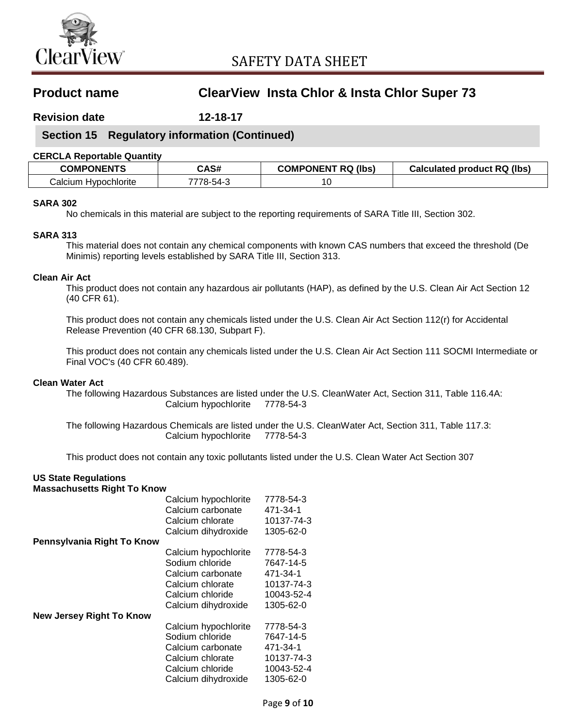

**Revision date 12-18-17**

## **Section 15 Regulatory information (Continued)**

### **CERCLA Reportable Quantity**

| <b>COMPONENTS</b>                | CAS#   | <b>COMPONENT RQ</b><br>(lbs) | <b>Calculated product RQ (lbs)</b> |
|----------------------------------|--------|------------------------------|------------------------------------|
| ' alcium.<br><b>Hypochlorite</b> | '8-h4- | 10                           |                                    |

## **SARA 302**

No chemicals in this material are subject to the reporting requirements of SARA Title III, Section 302.

## **SARA 313**

This material does not contain any chemical components with known CAS numbers that exceed the threshold (De Minimis) reporting levels established by SARA Title III, Section 313.

## **Clean Air Act**

This product does not contain any hazardous air pollutants (HAP), as defined by the U.S. Clean Air Act Section 12 (40 CFR 61).

This product does not contain any chemicals listed under the U.S. Clean Air Act Section 112(r) for Accidental Release Prevention (40 CFR 68.130, Subpart F).

This product does not contain any chemicals listed under the U.S. Clean Air Act Section 111 SOCMI Intermediate or Final VOC's (40 CFR 60.489).

#### **Clean Water Act**

The following Hazardous Substances are listed under the U.S. CleanWater Act, Section 311, Table 116.4A: Calcium hypochlorite 7778-54-3

The following Hazardous Chemicals are listed under the U.S. CleanWater Act, Section 311, Table 117.3: Calcium hypochlorite 7778-54-3

This product does not contain any toxic pollutants listed under the U.S. Clean Water Act Section 307

#### **US State Regulations Massachusetts Right To Know**

|                                 | Calcium hypochlorite<br>Calcium carbonate<br>Calcium chlorate | 7778-54-3<br>471-34-1<br>10137-74-3 |
|---------------------------------|---------------------------------------------------------------|-------------------------------------|
|                                 | Calcium dihydroxide                                           | 1305-62-0                           |
| Pennsylvania Right To Know      |                                                               |                                     |
|                                 | Calcium hypochlorite                                          | 7778-54-3                           |
|                                 | Sodium chloride                                               | 7647-14-5                           |
|                                 | Calcium carbonate                                             | 471-34-1                            |
|                                 | Calcium chlorate                                              | 10137-74-3                          |
|                                 | Calcium chloride                                              | 10043-52-4                          |
|                                 | Calcium dihydroxide                                           | 1305-62-0                           |
| <b>New Jersey Right To Know</b> |                                                               |                                     |
|                                 | Calcium hypochlorite                                          | 7778-54-3                           |
|                                 | Sodium chloride                                               | 7647-14-5                           |
|                                 | Calcium carbonate                                             | 471-34-1                            |
|                                 | Calcium chlorate                                              | 10137-74-3                          |
|                                 | Calcium chloride                                              | 10043-52-4                          |
|                                 | Calcium dihydroxide                                           | 1305-62-0                           |